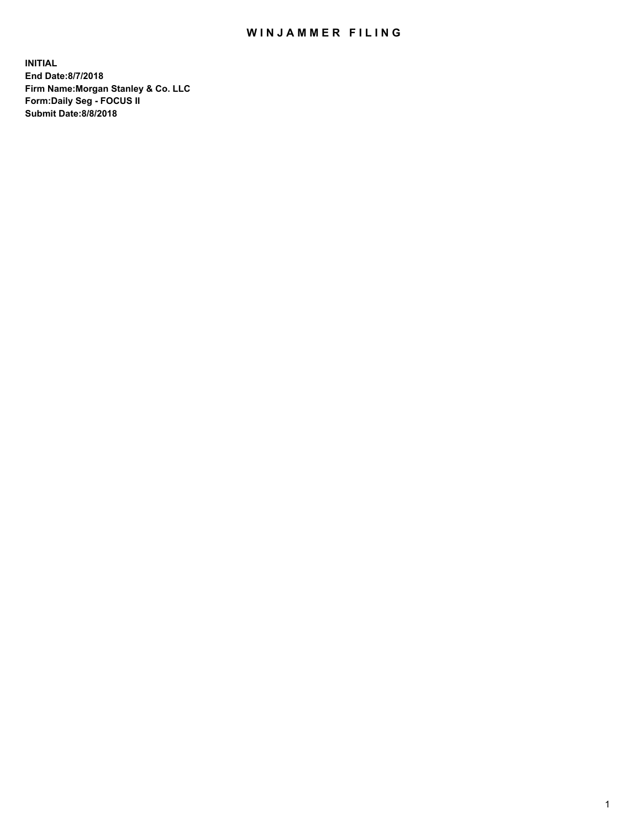## WIN JAMMER FILING

**INITIAL End Date:8/7/2018 Firm Name:Morgan Stanley & Co. LLC Form:Daily Seg - FOCUS II Submit Date:8/8/2018**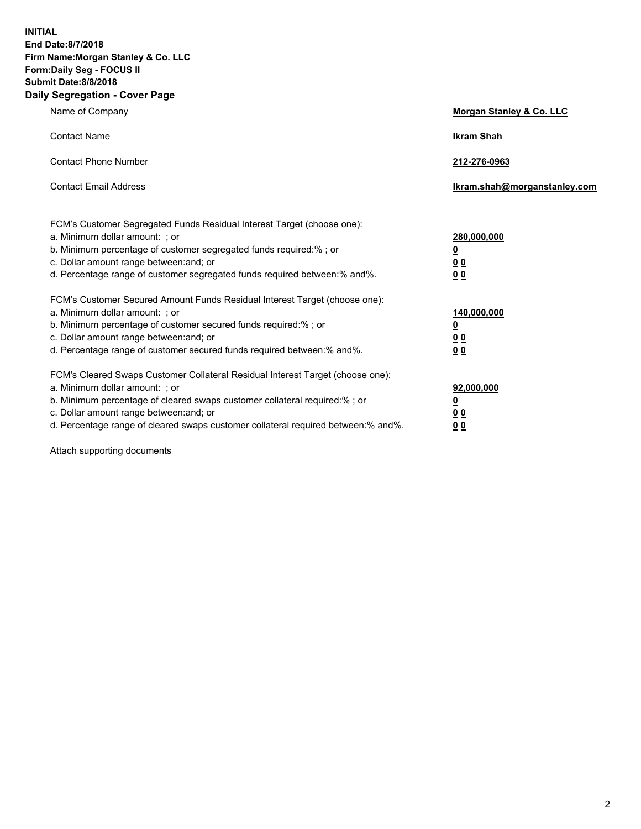**INITIAL End Date:8/7/2018 Firm Name:Morgan Stanley & Co. LLC Form:Daily Seg - FOCUS II Submit Date:8/8/2018 Daily Segregation - Cover Page**

| Name of Company                                                                                                                                                                                                                                                                                                                | Morgan Stanley & Co. LLC                                    |
|--------------------------------------------------------------------------------------------------------------------------------------------------------------------------------------------------------------------------------------------------------------------------------------------------------------------------------|-------------------------------------------------------------|
| <b>Contact Name</b>                                                                                                                                                                                                                                                                                                            | <b>Ikram Shah</b>                                           |
| <b>Contact Phone Number</b>                                                                                                                                                                                                                                                                                                    | 212-276-0963                                                |
| <b>Contact Email Address</b>                                                                                                                                                                                                                                                                                                   | Ikram.shah@morganstanley.com                                |
| FCM's Customer Segregated Funds Residual Interest Target (choose one):<br>a. Minimum dollar amount: ; or<br>b. Minimum percentage of customer segregated funds required:% ; or<br>c. Dollar amount range between: and; or<br>d. Percentage range of customer segregated funds required between:% and%.                         | 280,000,000<br><u>0</u><br>00<br>0 <sub>0</sub>             |
| FCM's Customer Secured Amount Funds Residual Interest Target (choose one):<br>a. Minimum dollar amount: ; or<br>b. Minimum percentage of customer secured funds required:%; or<br>c. Dollar amount range between: and; or<br>d. Percentage range of customer secured funds required between:% and%.                            | 140,000,000<br><u>0</u><br>0 <sub>0</sub><br>0 <sub>0</sub> |
| FCM's Cleared Swaps Customer Collateral Residual Interest Target (choose one):<br>a. Minimum dollar amount: ; or<br>b. Minimum percentage of cleared swaps customer collateral required:% ; or<br>c. Dollar amount range between: and; or<br>d. Percentage range of cleared swaps customer collateral required between:% and%. | 92,000,000<br><u>0</u><br>0 Q<br>0 <sub>0</sub>             |

Attach supporting documents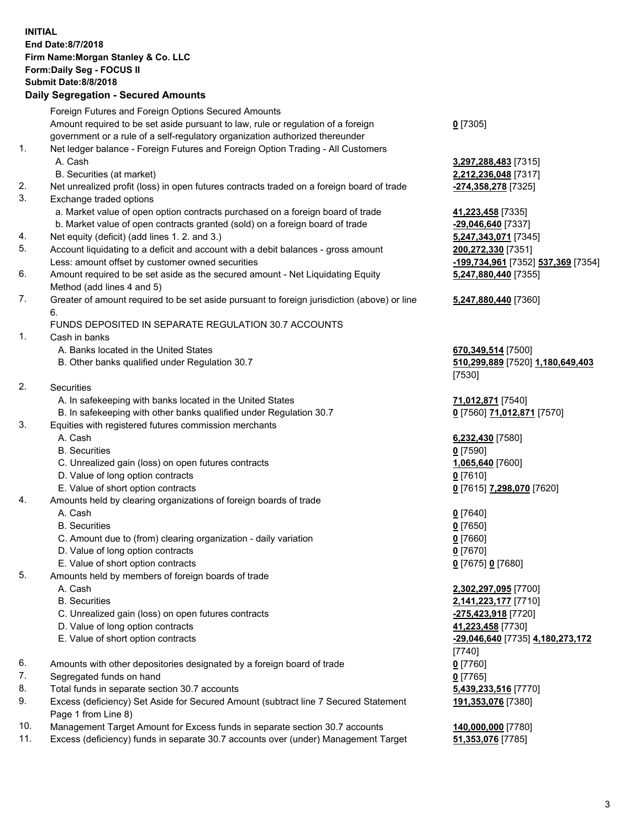## **INITIAL End Date:8/7/2018 Firm Name:Morgan Stanley & Co. LLC Form:Daily Seg - FOCUS II Submit Date:8/8/2018 Daily Segregation - Secured Amounts**

Foreign Futures and Foreign Options Secured Amounts Amount required to be set aside pursuant to law, rule or regulation of a foreign government or a rule of a self-regulatory organization authorized thereunder 1. Net ledger balance - Foreign Futures and Foreign Option Trading - All Customers A. Cash **3,297,288,483** [7315] B. Securities (at market) **2,212,236,048** [7317] 2. Net unrealized profit (loss) in open futures contracts traded on a foreign board of trade **-274,358,278** [7325] 3. Exchange traded options a. Market value of open option contracts purchased on a foreign board of trade **41,223,458** [7335] b. Market value of open contracts granted (sold) on a foreign board of trade **-29,046,640** [7337] 4. Net equity (deficit) (add lines 1. 2. and 3.) **5,247,343,071** [7345] 5. Account liquidating to a deficit and account with a debit balances - gross amount **200,272,330** [7351] Less: amount offset by customer owned securities **-199,734,961** [7352] **537,369** [7354] 6. Amount required to be set aside as the secured amount - Net Liquidating Equity Method (add lines 4 and 5) 7. Greater of amount required to be set aside pursuant to foreign jurisdiction (above) or line 6. FUNDS DEPOSITED IN SEPARATE REGULATION 30.7 ACCOUNTS 1. Cash in banks A. Banks located in the United States **670,349,514** [7500] B. Other banks qualified under Regulation 30.7 **510,299,889** [7520] **1,180,649,403** [7530] 2. Securities A. In safekeeping with banks located in the United States **71,012,871** [7540] B. In safekeeping with other banks qualified under Regulation 30.7 **0** [7560] **71,012,871** [7570] 3. Equities with registered futures commission merchants A. Cash **6,232,430** [7580] B. Securities **0** [7590] C. Unrealized gain (loss) on open futures contracts **1,065,640** [7600] D. Value of long option contracts **0** [7610] E. Value of short option contracts **0** [7615] **7,298,070** [7620] 4. Amounts held by clearing organizations of foreign boards of trade A. Cash **0** [7640] B. Securities **0** [7650] C. Amount due to (from) clearing organization - daily variation **0** [7660] D. Value of long option contracts **0** [7670] E. Value of short option contracts **0** [7675] **0** [7680] 5. Amounts held by members of foreign boards of trade A. Cash **2,302,297,095** [7700] B. Securities **2,141,223,177** [7710] C. Unrealized gain (loss) on open futures contracts **-275,423,918** [7720] D. Value of long option contracts **41,223,458** [7730] E. Value of short option contracts **-29,046,640** [7735] **4,180,273,172** [7740] 6. Amounts with other depositories designated by a foreign board of trade **0** [7760] 7. Segregated funds on hand **0** [7765] 8. Total funds in separate section 30.7 accounts **5,439,233,516** [7770] 9. Excess (deficiency) Set Aside for Secured Amount (subtract line 7 Secured Statement Page 1 from Line 8)

- 10. Management Target Amount for Excess funds in separate section 30.7 accounts **140,000,000** [7780]
- 11. Excess (deficiency) funds in separate 30.7 accounts over (under) Management Target **51,353,076** [7785]

**0** [7305]

**5,247,880,440** [7355] **5,247,880,440** [7360]

**191,353,076** [7380]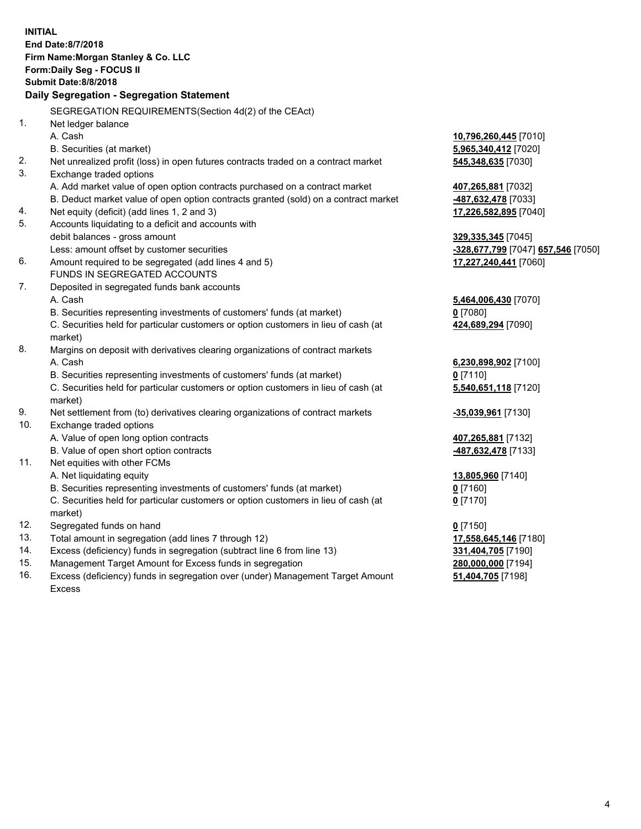|     | <b>INITIAL</b>                                                                                 |                                                              |
|-----|------------------------------------------------------------------------------------------------|--------------------------------------------------------------|
|     | End Date:8/7/2018                                                                              |                                                              |
|     | Firm Name: Morgan Stanley & Co. LLC                                                            |                                                              |
|     | Form: Daily Seg - FOCUS II                                                                     |                                                              |
|     | <b>Submit Date: 8/8/2018</b>                                                                   |                                                              |
|     | Daily Segregation - Segregation Statement                                                      |                                                              |
|     | SEGREGATION REQUIREMENTS(Section 4d(2) of the CEAct)                                           |                                                              |
| 1.  | Net ledger balance                                                                             |                                                              |
|     | A. Cash                                                                                        |                                                              |
|     |                                                                                                | 10,796,260,445 [7010]                                        |
|     | B. Securities (at market)                                                                      | 5,965,340,412 [7020]                                         |
| 2.  | Net unrealized profit (loss) in open futures contracts traded on a contract market             | 545,348,635 [7030]                                           |
| 3.  | Exchange traded options                                                                        |                                                              |
|     | A. Add market value of open option contracts purchased on a contract market                    | 407,265,881 [7032]                                           |
|     | B. Deduct market value of open option contracts granted (sold) on a contract market            | 487,632,478 [7033]                                           |
| 4.  | Net equity (deficit) (add lines 1, 2 and 3)                                                    | 17,226,582,895 [7040]                                        |
| 5.  | Accounts liquidating to a deficit and accounts with                                            |                                                              |
|     | debit balances - gross amount                                                                  | 329, 335, 345 [7045]                                         |
|     | Less: amount offset by customer securities                                                     | <mark>-328,677,799</mark> [7047] <mark>657,546</mark> [7050] |
| 6.  | Amount required to be segregated (add lines 4 and 5)                                           | 17,227,240,441 [7060]                                        |
|     | FUNDS IN SEGREGATED ACCOUNTS                                                                   |                                                              |
| 7.  | Deposited in segregated funds bank accounts                                                    |                                                              |
|     | A. Cash                                                                                        | 5,464,006,430 [7070]                                         |
|     | B. Securities representing investments of customers' funds (at market)                         | $0$ [7080]                                                   |
|     | C. Securities held for particular customers or option customers in lieu of cash (at<br>market) | 424,689,294 [7090]                                           |
| 8.  | Margins on deposit with derivatives clearing organizations of contract markets                 |                                                              |
|     | A. Cash                                                                                        | 6,230,898,902 [7100]                                         |
|     | B. Securities representing investments of customers' funds (at market)                         | $0$ [7110]                                                   |
|     | C. Securities held for particular customers or option customers in lieu of cash (at            | 5,540,651,118 [7120]                                         |
|     | market)                                                                                        |                                                              |
| 9.  | Net settlement from (to) derivatives clearing organizations of contract markets                | -35,039,961 [7130]                                           |
| 10. | Exchange traded options                                                                        |                                                              |
|     | A. Value of open long option contracts                                                         | 407,265,881 [7132]                                           |
|     | B. Value of open short option contracts                                                        | 487,632,478 [7133]                                           |
| 11. | Net equities with other FCMs                                                                   |                                                              |
|     | A. Net liquidating equity                                                                      | 13,805,960 [7140]                                            |
|     | B. Securities representing investments of customers' funds (at market)                         | 0 [7160]                                                     |
|     | C. Securities held for particular customers or option customers in lieu of cash (at            | $0$ [7170]                                                   |
|     | market)                                                                                        |                                                              |
| 12. | Segregated funds on hand                                                                       | $0$ [7150]                                                   |
| 13. | Total amount in segregation (add lines 7 through 12)                                           | 17,558,645,146 [7180]                                        |
| 14. | Excess (deficiency) funds in segregation (subtract line 6 from line 13)                        | 331,404,705 [7190]                                           |
| 15. | Management Target Amount for Excess funds in segregation                                       | 280,000,000 [7194]                                           |
|     |                                                                                                |                                                              |

16. Excess (deficiency) funds in segregation over (under) Management Target Amount Excess

**51,404,705** [7198]